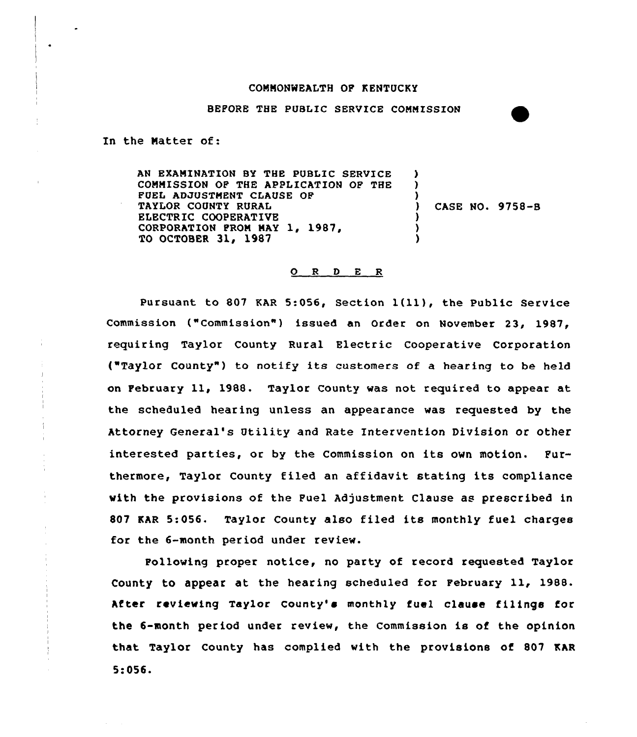## CONNONMEALTH OF KENTUCKY

BEFORE THE PUBLIC SERVICE COMMISSION

In the Natter of:

Ť. ÷ AN EXAMINATION BY THE PUBLIC SERVICE COMMISSION OF THE APPLICATION QF THE FUEL ADJUSTMENT CLAUSE OF TAYLOR COUNTY RURAL ELECTRIC COOPERATIVE CORPORATION FROM MAY 1, 1987, TO OCTOBER 31, 1987 ) ) ) ) CASE NO. 9758-8 ) ) )

## 0 <sup>R</sup> <sup>D</sup> <sup>E</sup> <sup>R</sup>

Pursuant to 807 KAR 5:056, Section 1(11), the Public Service Commission ("Commission") issued an Order on November 23, 1987, requiring Taylor County Rural Electric Cooperative Corporation ("Taylor County") to notify its customers of a hearing to be held on February ll, 1988. Taylor County was not required to appear at the scheduled hearing unless an appearance was requested by the Attorney General's Utility and Rate Intervention Division or other interested parties, or by the Commission on its own motion. Furthermore, Taylor County filed an affidavit stating its compliance with the provisions of the Fuel Adjustment Clause as prescribed in <sup>807</sup> KAR 5:056. Taylor County also filed its monthly fuel charges for the 6-month period under review.

Following proper notice, no party of record requested Taylor County to appear at the hearing scheduled for February ll, 1988. After reviewing Taylor County's monthly fuel clause filinge for the 6-month period under review, the Commission is of the opinion that Taylor County has complied with the provisions of 807 EAR 5:056.